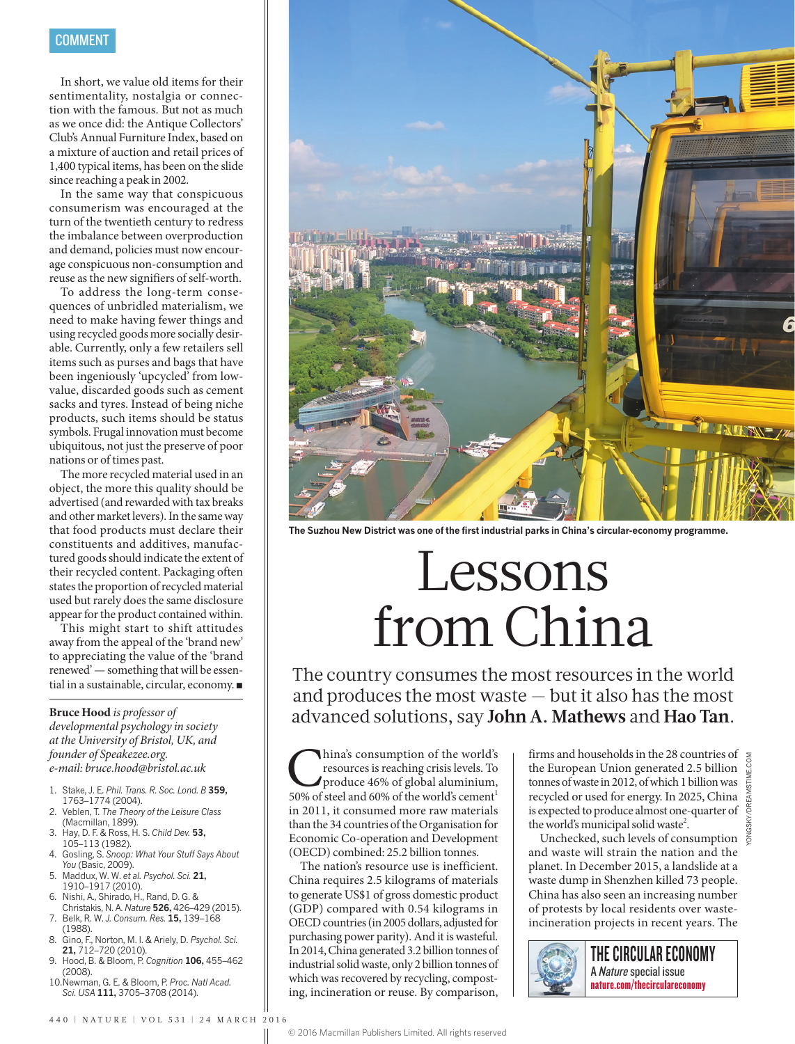In short, we value old items for their sentimentality, nostalgia or connection with the famous. But not as much as we once did: the Antique Collectors' Club's Annual Furniture Index, based on a mixture of auction and retail prices of 1,400 typical items, has been on the slide since reaching a peak in 2002.

In the same way that conspicuous consumerism was encouraged at the turn of the twentieth century to redress the imbalance between overproduction and demand, policies must now encourage conspicuous non-consumption and reuse as the new signifiers of self-worth.

To address the long-term consequences of unbridled materialism, we need to make having fewer things and using recycled goods more socially desirable. Currently, only a few retailers sell items such as purses and bags that have been ingeniously 'upcycled' from lowvalue, discarded goods such as cement sacks and tyres. Instead of being niche products, such items should be status symbols. Frugal innovation must become ubiquitous, not just the preserve of poor nations or of times past.

The more recycled material used in an object, the more this quality should be advertised (and rewarded with tax breaks and other market levers). In the same way that food products must declare their constituents and additives, manufactured goods should indicate the extent of their recycled content. Packaging often states the proportion of recycled material used but rarely does the same disclosure appear for the product contained within.

This might start to shift attitudes away from the appeal of the 'brand new' to appreciating the value of the 'brand renewed' — something that will be essential in a sustainable, circular, economy. ■

#### **Bruce Hood** *is professor of*

*developmental psychology in society at the University of Bristol, UK, and founder of Speakezee.org. e-mail: bruce.hood@bristol.ac.uk*

- 1. Stake, J. E. *Phil. Trans. R. Soc. Lond. B* **359,** 1763–1774 (2004).
- 2. Veblen, T. *The Theory of the Leisure Class* (Macmillan, 1899).
- 3. Hay, D. F. & Ross, H. S. *Child Dev.* **53,** 105–113 (1982).
- 4. Gosling, S. *Snoop: What Your Stuff Says About You* (Basic, 2009).
- 5. Maddux, W. W. *et al. Psychol. Sci.* **21,** 1910–1917 (2010).
- 6. Nishi, A., Shirado, H., Rand, D. G. & Christakis, N. A. *Nature* **526,** 426–429 (2015). 7. Belk, R. W. *J. Consum. Res.* **15,** 139–168
- (1988). 8. Gino, F., Norton, M. I. & Ariely, D. *Psychol. Sci.*
- **21,** 712–720 (2010).
- 9. Hood, B. & Bloom, P. *Cognition* **106,** 455–462 (2008).
- 10.Newman, G. E. & Bloom, P. *Proc. Natl Acad. Sci. USA* **111,** 3705–3708 (2014).



**The Suzhou New District was one of the first industrial parks in China's circular-economy programme.**

# Lessons from China

The country consumes the most resources in the world and produces the most waste — but it also has the most advanced solutions, say **John A. Mathews** and **Hao Tan**.

**China's consumption of the world's**<br>resources is reaching crisis levels. To<br>produce 46% of global aluminium,<br>50% of steel and 60% of the world's cement<sup>1</sup> resources is reaching crisis levels. To produce 46% of global aluminium, in 2011, it consumed more raw materials than the 34 countries of the Organisation for Economic Co-operation and Development (OECD) combined: 25.2 billion tonnes.

The nation's resource use is inefficient. China requires 2.5 kilograms of materials to generate US\$1 of gross domestic product (GDP) compared with 0.54 kilograms in OECD countries (in 2005 dollars, adjusted for purchasing power parity). And it is wasteful. In 2014, China generated 3.2 billion tonnes of industrial solid waste, only 2 billion tonnes of which was recovered by recycling, composting, incineration or reuse. By comparison,

firms and households in the 28 countries of the European Union generated 2.5 billion tonnes of waste in 2012, of which 1 billion was recycled or used for energy. In 2025, China is expected to produce almost one-quarter of the world's municipal solid waste<sup>2</sup>.

Unchecked, such levels of consumption  $\frac{9}{6}$ and waste will strain the nation and the planet. In December 2015, a landslide at a waste dump in Shenzhen killed 73 people. China has also seen an increasing number of protests by local residents over wasteincineration projects in recent years. The

THE CIRCULAR ECONOMY A Nature special issue nature.com/thecirculareconomy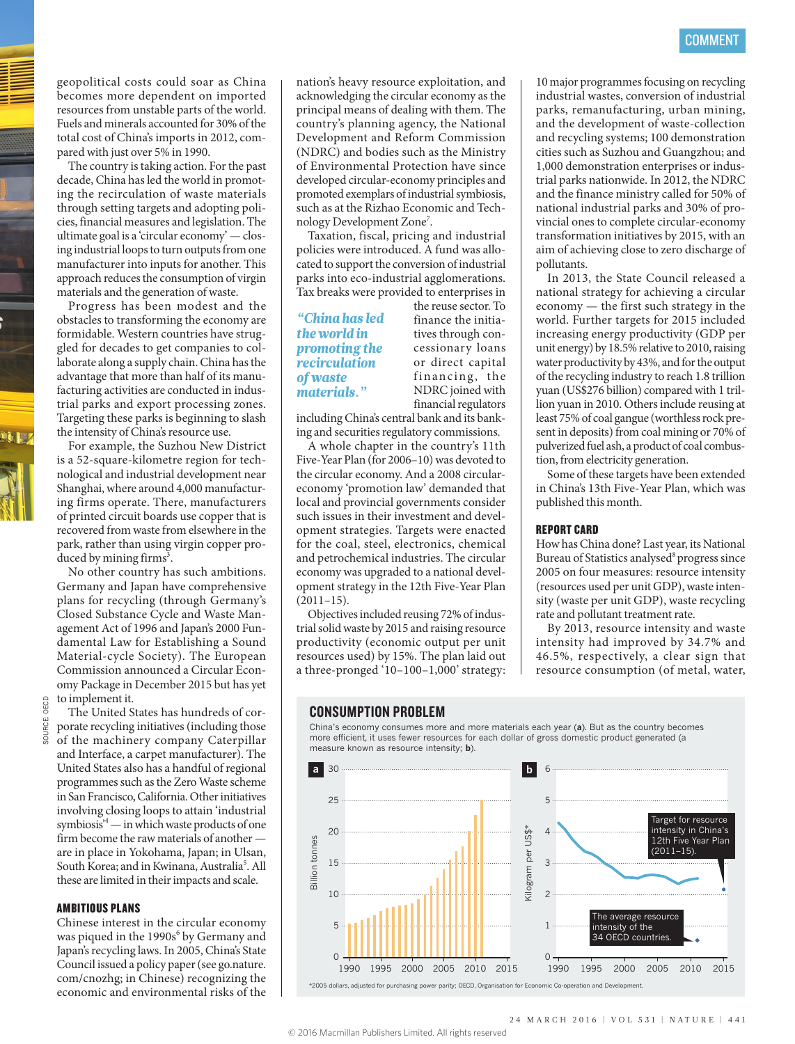geopolitical costs could soar as China becomes more dependent on imported resources from unstable parts of the world. Fuels and minerals accounted for 30% of the total cost of China's imports in 2012, compared with just over 5% in 1990.

The country is taking action. For the past decade, China has led the world in promoting the recirculation of waste materials through setting targets and adopting policies, financial measures and legislation. The ultimate goal is a 'circular economy' — closing industrial loops to turn outputs from one manufacturer into inputs for another. This approach reduces the consumption of virgin materials and the generation of waste.

Progress has been modest and the obstacles to transforming the economy are formidable. Western countries have struggled for decades to get companies to collaborate along a supply chain. China has the advantage that more than half of its manufacturing activities are conducted in industrial parks and export processing zones. Targeting these parks is beginning to slash the intensity of China's resource use.

For example, the Suzhou New District is a 52-square-kilometre region for technological and industrial development near Shanghai, where around 4,000 manufacturing firms operate. There, manufacturers of printed circuit boards use copper that is recovered from waste from elsewhere in the park, rather than using virgin copper produced by mining firms<sup>3</sup>.

No other country has such ambitions. Germany and Japan have comprehensive plans for recycling (through Germany's Closed Substance Cycle and Waste Management Act of 1996 and Japan's 2000 Fundamental Law for Establishing a Sound Material-cycle Society). The European Commission announced a Circular Economy Package in December 2015 but has yet to implement it.

The United States has hundreds of corporate recycling initiatives (including those of the machinery company Caterpillar and Interface, a carpet manufacturer). The United States also has a handful of regional programmes such as the Zero Waste scheme in San Francisco, California. Other initiatives involving closing loops to attain 'industrial symbiosis'4 — in which waste products of one firm become the raw materials of another are in place in Yokohama, Japan; in Ulsan, South Korea; and in Kwinana, Australia<sup>5</sup>. All these are limited in their impacts and scale.

#### AMBITIOUS PLANS

Chinese interest in the circular economy was piqued in the 1990s<sup>6</sup> by Germany and Japan's recycling laws. In 2005, China's State Council issued a policy paper (see go.nature. com/cnozhg; in Chinese) recognizing the economic and environmental risks of the

nation's heavy resource exploitation, and acknowledging the circular economy as the principal means of dealing with them. The country's planning agency, the National Development and Reform Commission (NDRC) and bodies such as the Ministry of Environmental Protection have since developed circular-economy principles and promoted exemplars of industrial symbiosis, such as at the Rizhao Economic and Technology Development Zone<sup>7</sup>.

Taxation, fiscal, pricing and industrial policies were introduced. A fund was allocated to support the conversion of industrial parks into eco-industrial agglomerations. Tax breaks were provided to enterprises in

# *"China has led the world in promoting the recirculation of waste materials."*

the reuse sector. To finance the initiatives through concessionary loans or direct capital financing, the NDRC joined with financial regulators

including China's central bank and its banking and securities regulatory commissions.

A whole chapter in the country's 11th Five-Year Plan (for 2006–10) was devoted to the circular economy. And a 2008 circulareconomy 'promotion law' demanded that local and provincial governments consider such issues in their investment and development strategies. Targets were enacted for the coal, steel, electronics, chemical and petrochemical industries. The circular economy was upgraded to a national development strategy in the 12th Five-Year Plan  $(2011-15)$ .

Objectives included reusing 72% of industrial solid waste by 2015 and raising resource productivity (economic output per unit resources used) by 15%. The plan laid out a three-pronged '10–100–1,000' strategy:

10 major programmes focusing on recycling industrial wastes, conversion of industrial parks, remanufacturing, urban mining, and the development of waste-collection and recycling systems; 100 demonstration cities such as Suzhou and Guangzhou; and 1,000 demonstration enterprises or industrial parks nationwide. In 2012, the NDRC and the finance ministry called for 50% of national industrial parks and 30% of provincial ones to complete circular-economy transformation initiatives by 2015, with an aim of achieving close to zero discharge of pollutants.

In 2013, the State Council released a national strategy for achieving a circular economy — the first such strategy in the world. Further targets for 2015 included increasing energy productivity (GDP per unit energy) by 18.5% relative to 2010, raising water productivity by 43%, and for the output of the recycling industry to reach 1.8 trillion yuan (US\$276 billion) compared with 1 trillion yuan in 2010. Others include reusing at least 75% of coal gangue (worthless rock present in deposits) from coal mining or 70% of pulverized fuel ash, a product of coal combustion, from electricity generation.

Some of these targets have been extended in China's 13th Five-Year Plan, which was published this month.

#### REPORT CARD

How has China done? Last year, its National Bureau of Statistics analysed<sup>8</sup> progress since 2005 on four measures: resource intensity (resources used per unit GDP), waste intensity (waste per unit GDP), waste recycling rate and pollutant treatment rate.

By 2013, resource intensity and waste intensity had improved by 34.7% and 46.5%, respectively, a clear sign that resource consumption (of metal, water,

#### CONSUMPTION PROBLEM

China's economy consumes more and more materials each year (**a**). But as the country becomes more efficient, it uses fewer resources for each dollar of gross domestic product generated (a measure known as resource intensity; **b**).